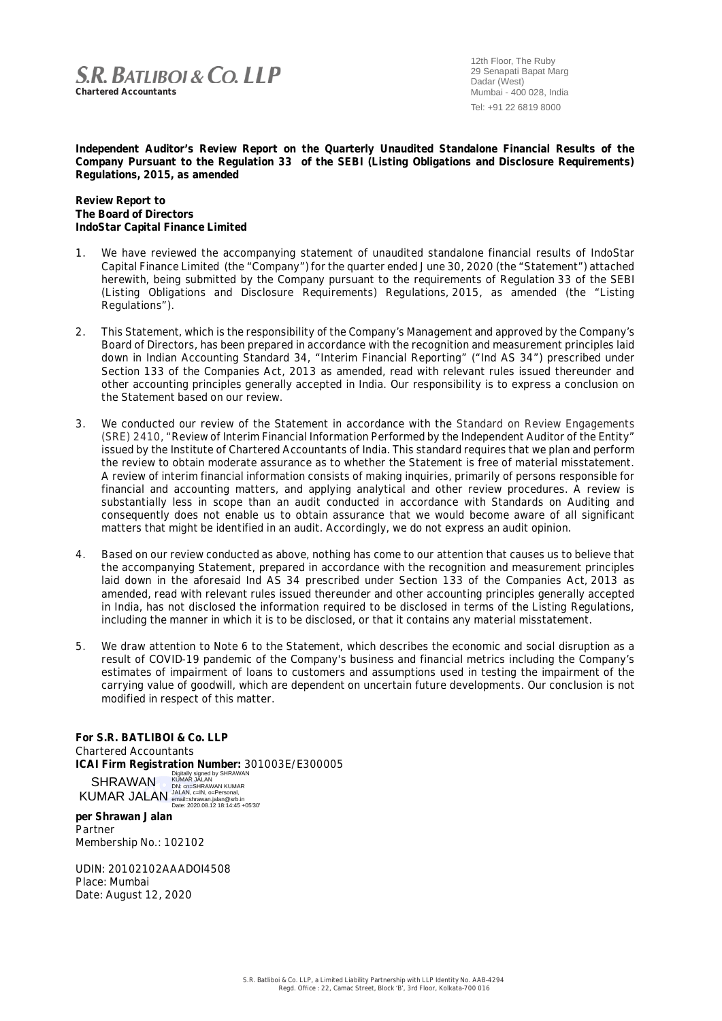## **S.R. BATLIBOL & CO. LLP**

**Chartered Accountants**

12th Floor, The Ruby 29 Senapati Bapat Marg Dadar (West) Mumbai - 400 028, India Tel: +91 22 6819 8000

**Independent Auditor's Review Report on the Quarterly Unaudited Standalone Financial Results of the Company Pursuant to the Regulation 33 of the SEBI (Listing Obligations and Disclosure Requirements) Regulations, 2015, as amended**

**Review Report to The Board of Directors IndoStar Capital Finance Limited**

- 1. We have reviewed the accompanying statement of unaudited standalone financial results of IndoStar Capital Finance Limited (the "Company") for the quarter ended June 30, 2020 (the "Statement") attached herewith, being submitted by the Company pursuant to the requirements of Regulation 33 of the SEBI (Listing Obligations and Disclosure Requirements) Regulations, 2015, as amended (the "Listing Regulations").
- 2. This Statement, which is the responsibility of the Company's Management and approved by the Company's Board of Directors, has been prepared in accordance with the recognition and measurement principles laid down in Indian Accounting Standard 34, "Interim Financial Reporting" ("Ind AS 34") prescribed under Section 133 of the Companies Act, 2013 as amended, read with relevant rules issued thereunder and other accounting principles generally accepted in India. Our responsibility is to express a conclusion on the Statement based on our review.
- 3. We conducted our review of the Statement in accordance with the Standard on Review Engagements (SRE) 2410, "Review of Interim Financial Information Performed by the Independent Auditor of the Entity" issued by the Institute of Chartered Accountants of India. This standard requires that we plan and perform the review to obtain moderate assurance as to whether the Statement is free of material misstatement. A review of interim financial information consists of making inquiries, primarily of persons responsible for financial and accounting matters, and applying analytical and other review procedures. A review is substantially less in scope than an audit conducted in accordance with Standards on Auditing and consequently does not enable us to obtain assurance that we would become aware of all significant matters that might be identified in an audit. Accordingly, we do not express an audit opinion.
- 4. Based on our review conducted as above, nothing has come to our attention that causes us to believe that the accompanying Statement, prepared in accordance with the recognition and measurement principles laid down in the aforesaid Ind AS 34 prescribed under Section 133 of the Companies Act, 2013 as amended, read with relevant rules issued thereunder and other accounting principles generally accepted in India, has not disclosed the information required to be disclosed in terms of the Listing Regulations, including the manner in which it is to be disclosed, or that it contains any material misstatement.
- 5. We draw attention to Note 6 to the Statement, which describes the economic and social disruption as a result of COVID-19 pandemic of the Company's business and financial metrics including the Company's estimates of impairment of loans to customers and assumptions used in testing the impairment of the carrying value of goodwill, which are dependent on uncertain future developments. Our conclusion is not modified in respect of this matter.

**For S.R. BATLIBOI & Co. LLP** Chartered Accountants ICAI Firm Registration Number: 301003E/E300005<br>
SHRAWAN Digitally signed by SHRAWAN<br>
KUMAR JALAN, c=IN, o=Personal,<br>
KUMAR JALAN amail=shrawan.jalan@srb.in<br>
<sub>pate: 2020.08.12 18:14:45 +05'30'</sub> SHRAWAN KUMAR JALAN

**per Shrawan Jalan** Partner Membership No.: 102102

UDIN: 20102102AAADOI4508 Place: Mumbai Date: August 12, 2020